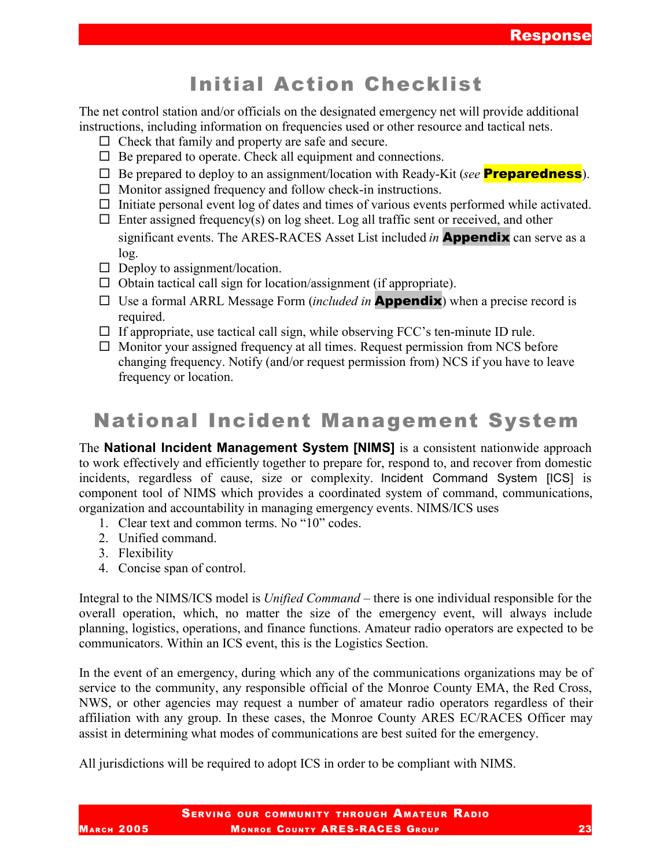# Initial Action Checklist

The net control station and/or officials on the designated emergency net will provide additional instructions, including information on frequencies used or other resource and tactical nets.

- $\Box$  Check that family and property are safe and secure.
- $\Box$  Be prepared to operate. Check all equipment and connections.
- □ Be prepared to deploy to an assignment/location with Ready-Kit (*see* **Preparedness**).
- $\Box$  Monitor assigned frequency and follow check-in instructions.
- $\Box$  Initiate personal event log of dates and times of various events performed while activated.
- $\Box$  Enter assigned frequency(s) on log sheet. Log all traffic sent or received, and other significant events. The ARES-RACES Asset List included *in* Appendix can serve as a log.
- $\Box$  Deploy to assignment/location.
- $\Box$  Obtain tactical call sign for location/assignment (if appropriate).
- □ Use a formal ARRL Message Form *(included in* **Appendix**) when a precise record is required.
- $\Box$  If appropriate, use tactical call sign, while observing FCC's ten-minute ID rule.
- $\Box$  Monitor your assigned frequency at all times. Request permission from NCS before changing frequency. Notify (and/or request permission from) NCS if you have to leave frequency or location.

# National Incident Management System

The **National Incident Management System [NIMS]** is a consistent nationwide approach to work effectively and efficiently together to prepare for, respond to, and recover from domestic incidents, regardless of cause, size or complexity. Incident Command System [ICS] is component tool of NIMS which provides a coordinated system of command, communications, organization and accountability in managing emergency events. NIMS/ICS uses

- 1. Clear text and common terms. No "10" codes.
- 2. Unified command.
- 3. Flexibility
- 4. Concise span of control.

Integral to the NIMS/ICS model is *Unified Command* – there is one individual responsible for the overall operation, which, no matter the size of the emergency event, will always include planning, logistics, operations, and finance functions. Amateur radio operators are expected to be communicators. Within an ICS event, this is the Logistics Section.

In the event of an emergency, during which any of the communications organizations may be of service to the community, any responsible official of the Monroe County EMA, the Red Cross, NWS, or other agencies may request a number of amateur radio operators regardless of their affiliation with any group. In these cases, the Monroe County ARES EC/RACES Officer may assist in determining what modes of communications are best suited for the emergency.

All jurisdictions will be required to adopt ICS in order to be compliant with NIMS.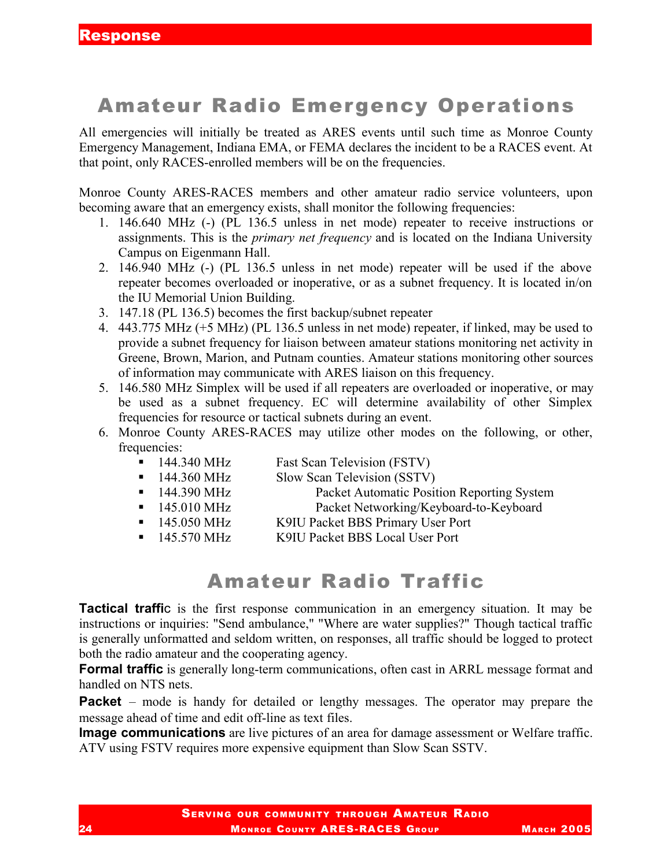## Amateur Radio Emergency Operations

All emergencies will initially be treated as ARES events until such time as Monroe County Emergency Management, Indiana EMA, or FEMA declares the incident to be a RACES event. At that point, only RACES-enrolled members will be on the frequencies.

Monroe County ARES-RACES members and other amateur radio service volunteers, upon becoming aware that an emergency exists, shall monitor the following frequencies:

- 1. 146.640 MHz (-) (PL 136.5 unless in net mode) repeater to receive instructions or assignments. This is the *primary net frequency* and is located on the Indiana University Campus on Eigenmann Hall.
- 2. 146.940 MHz (-) (PL 136.5 unless in net mode) repeater will be used if the above repeater becomes overloaded or inoperative, or as a subnet frequency. It is located in/on the IU Memorial Union Building.
- 3. 147.18 (PL 136.5) becomes the first backup/subnet repeater
- 4. 443.775 MHz (+5 MHz) (PL 136.5 unless in net mode) repeater, if linked, may be used to provide a subnet frequency for liaison between amateur stations monitoring net activity in Greene, Brown, Marion, and Putnam counties. Amateur stations monitoring other sources of information may communicate with ARES liaison on this frequency.
- 5. 146.580 MHz Simplex will be used if all repeaters are overloaded or inoperative, or may be used as a subnet frequency. EC will determine availability of other Simplex frequencies for resource or tactical subnets during an event.
- 6. Monroe County ARES-RACES may utilize other modes on the following, or other, frequencies:
	- 144.340 MHz Fast Scan Television (FSTV)
	- 144.360 MHz Slow Scan Television (SSTV)
	- 144.390 MHz Packet Automatic Position Reporting System
	- 145.010 MHz Packet Networking/Keyboard-to-Keyboard
	- 145.050 MHz K9IU Packet BBS Primary User Port
	- 145.570 MHz K9IU Packet BBS Local User Port

### Amateur Radio Traffic

**Tactical traffi**c is the first response communication in an emergency situation. It may be instructions or inquiries: "Send ambulance," "Where are water supplies?" Though tactical traffic is generally unformatted and seldom written, on responses, all traffic should be logged to protect both the radio amateur and the cooperating agency.

**Formal traffic** is generally long-term communications, often cast in ARRL message format and handled on NTS nets.

**Packet** – mode is handy for detailed or lengthy messages. The operator may prepare the message ahead of time and edit off-line as text files.

**Image communications** are live pictures of an area for damage assessment or Welfare traffic. ATV using FSTV requires more expensive equipment than Slow Scan SSTV.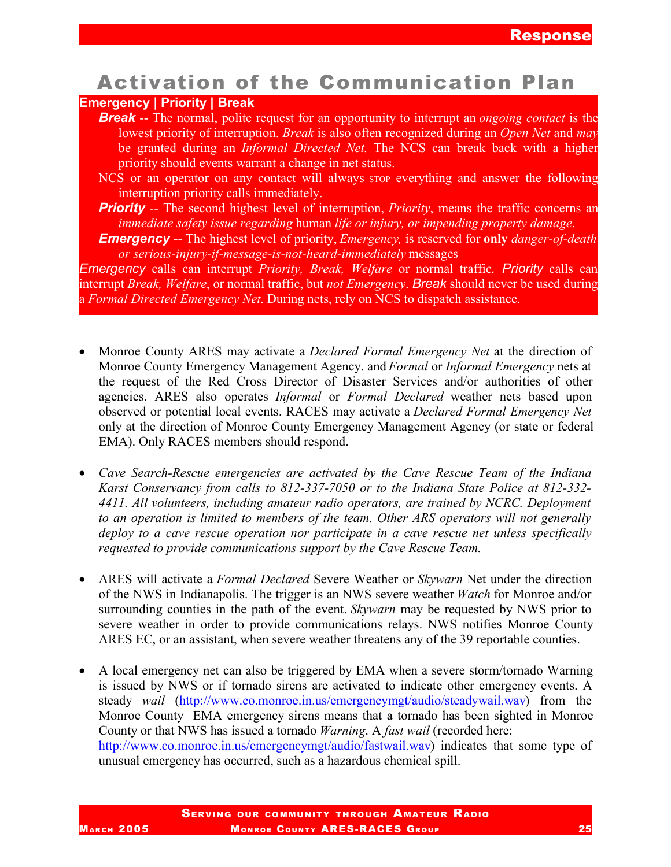## Activation of the Communication Plan

#### **Emergency | Priority | Break**

*Break* -- The normal, polite request for an opportunity to interrupt an *ongoing contact* is the lowest priority of interruption. *Break* is also often recognized during an *Open Net* and *may* be granted during an *Informal Directed Net.* The NCS can break back with a higher priority should events warrant a change in net status.

NCS or an operator on any contact will always stop everything and answer the following interruption priority calls immediately.

- **Priority** -- The second highest level of interruption, *Priority*, means the traffic concerns an *immediate safety issue regarding* human *life or injury, or impending property damage*.
- *Emergency* -- The highest level of priority, *Emergency,* is reserved for **only** *danger-of-death or serious-injury-if-message-is-not-heard-immediately* messages

*Emergency* calls can interrupt *Priority, Break, Welfare* or normal traffic*. Priority* calls can interrupt *Break, Welfare*, or normal traffic, but *not Emergency*. *Break* should never be used during a *Formal Directed Emergency Net*. During nets, rely on NCS to dispatch assistance.

- Monroe County ARES may activate a *Declared Formal Emergency Net* at the direction of Monroe County Emergency Management Agency. and *Formal* or *Informal Emergency* nets at the request of the Red Cross Director of Disaster Services and/or authorities of other agencies. ARES also operates *Informal* or *Formal Declared* weather nets based upon observed or potential local events. RACES may activate a *Declared Formal Emergency Net* only at the direction of Monroe County Emergency Management Agency (or state or federal EMA). Only RACES members should respond.
- *Cave Search-Rescue emergencies are activated by the Cave Rescue Team of the Indiana Karst Conservancy from calls to 812-337-7050 or to the Indiana State Police at 812-332- 4411. All volunteers, including amateur radio operators, are trained by NCRC. Deployment to an operation is limited to members of the team. Other ARS operators will not generally deploy to a cave rescue operation nor participate in a cave rescue net unless specifically requested to provide communications support by the Cave Rescue Team.*
- ARES will activate a *Formal Declared* Severe Weather or *Skywarn* Net under the direction of the NWS in Indianapolis. The trigger is an NWS severe weather *Watch* for Monroe and/or surrounding counties in the path of the event. *Skywarn* may be requested by NWS prior to severe weather in order to provide communications relays. NWS notifies Monroe County ARES EC, or an assistant, when severe weather threatens any of the 39 reportable counties.
- A local emergency net can also be triggered by EMA when a severe storm/tornado Warning is issued by NWS or if tornado sirens are activated to indicate other emergency events. A steady *wail* (http://www.co.monroe.in.us/emergencymgt/audio/steadywail.wav) from the Monroe County EMA emergency sirens means that a tornado has been sighted in Monroe County or that NWS has issued a tornado *Warning*. A *fast wail* (recorded here: http://www.co.monroe.in.us/emergencymgt/audio/fastwail.wav) indicates that some type of unusual emergency has occurred, such as a hazardous chemical spill.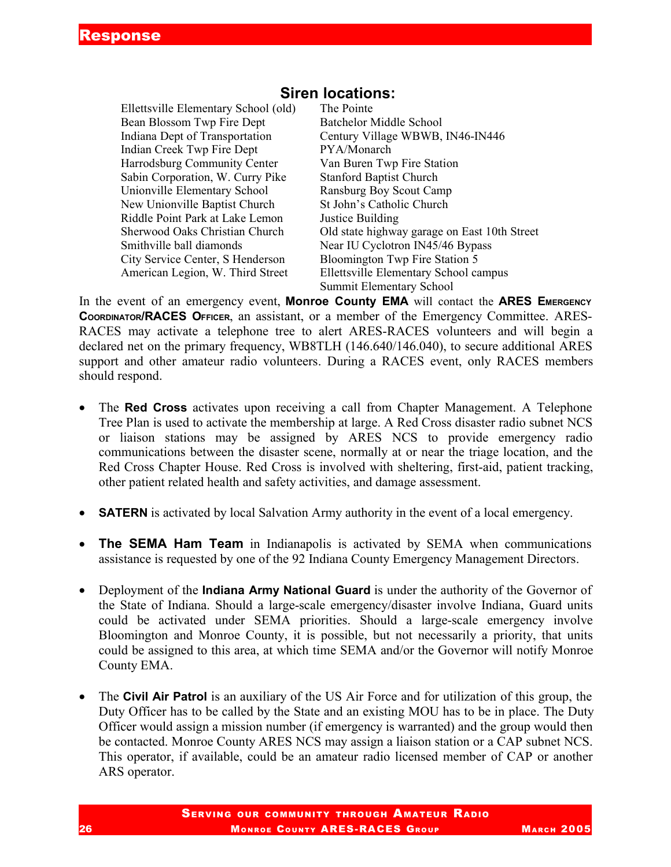#### Ellettsville Elementary School (old) The Pointe Bean Blossom Twp Fire Dept Batchelor Middle School Indiana Dept of Transportation Century Village WBWB, IN46-IN446 Indian Creek Twp Fire Dept PYA/Monarch Harrodsburg Community Center Van Buren Twp Fire Station Sabin Corporation, W. Curry Pike Stanford Baptist Church Unionville Elementary School Ransburg Boy Scout Camp New Unionville Baptist Church St John's Catholic Church Riddle Point Park at Lake Lemon Justice Building Smithville ball diamonds<br>Near IU Cyclotron IN45/46 Bypass City Service Center, S Henderson Bloomington Twp Fire Station 5

#### **Siren locations:**

Sherwood Oaks Christian Church Old state highway garage on East 10th Street American Legion, W. Third Street Ellettsville Elementary School campus Summit Elementary School

In the event of an emergency event, **Monroe County EMA** will contact the **ARES EMERGENCY COORDINATOR/RACES OFFICER**, an assistant, or a member of the Emergency Committee. ARES-RACES may activate a telephone tree to alert ARES-RACES volunteers and will begin a declared net on the primary frequency, WB8TLH (146.640/146.040), to secure additional ARES support and other amateur radio volunteers. During a RACES event, only RACES members should respond.

- The **Red Cross** activates upon receiving a call from Chapter Management. A Telephone Tree Plan is used to activate the membership at large. A Red Cross disaster radio subnet NCS or liaison stations may be assigned by ARES NCS to provide emergency radio communications between the disaster scene, normally at or near the triage location, and the Red Cross Chapter House. Red Cross is involved with sheltering, first-aid, patient tracking, other patient related health and safety activities, and damage assessment.
- **SATERN** is activated by local Salvation Army authority in the event of a local emergency.
- **The SEMA Ham Team** in Indianapolis is activated by SEMA when communications assistance is requested by one of the 92 Indiana County Emergency Management Directors.
- Deployment of the **Indiana Army National Guard** is under the authority of the Governor of the State of Indiana. Should a large-scale emergency/disaster involve Indiana, Guard units could be activated under SEMA priorities. Should a large-scale emergency involve Bloomington and Monroe County, it is possible, but not necessarily a priority, that units could be assigned to this area, at which time SEMA and/or the Governor will notify Monroe County EMA.
- The **Civil Air Patrol** is an auxiliary of the US Air Force and for utilization of this group, the Duty Officer has to be called by the State and an existing MOU has to be in place. The Duty Officer would assign a mission number (if emergency is warranted) and the group would then be contacted. Monroe County ARES NCS may assign a liaison station or a CAP subnet NCS. This operator, if available, could be an amateur radio licensed member of CAP or another ARS operator.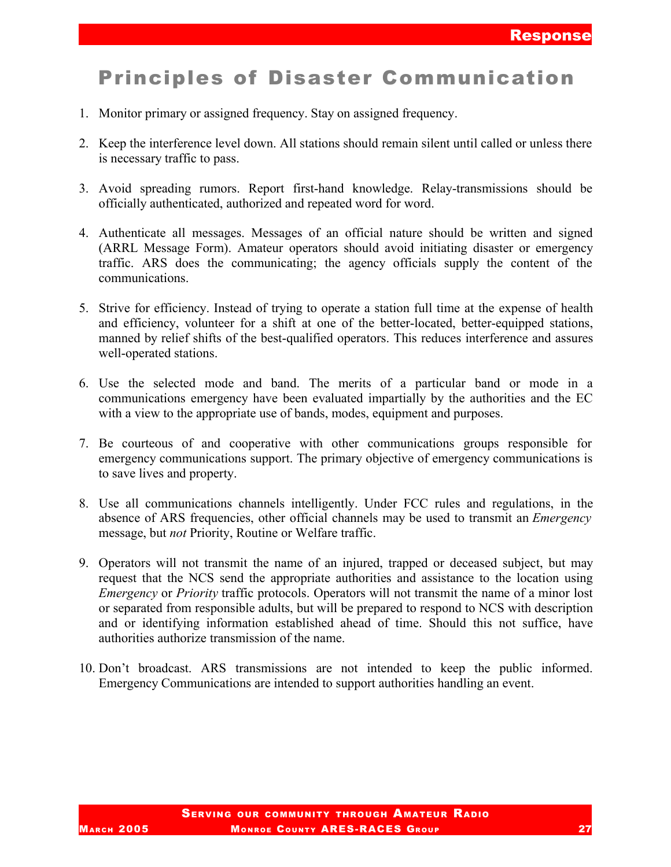### Principles of Disaster Communication

- 1. Monitor primary or assigned frequency. Stay on assigned frequency.
- 2. Keep the interference level down. All stations should remain silent until called or unless there is necessary traffic to pass.
- 3. Avoid spreading rumors. Report first-hand knowledge. Relay-transmissions should be officially authenticated, authorized and repeated word for word.
- 4. Authenticate all messages. Messages of an official nature should be written and signed (ARRL Message Form). Amateur operators should avoid initiating disaster or emergency traffic. ARS does the communicating; the agency officials supply the content of the communications.
- 5. Strive for efficiency. Instead of trying to operate a station full time at the expense of health and efficiency, volunteer for a shift at one of the better-located, better-equipped stations, manned by relief shifts of the best-qualified operators. This reduces interference and assures well-operated stations.
- 6. Use the selected mode and band. The merits of a particular band or mode in a communications emergency have been evaluated impartially by the authorities and the EC with a view to the appropriate use of bands, modes, equipment and purposes.
- 7. Be courteous of and cooperative with other communications groups responsible for emergency communications support. The primary objective of emergency communications is to save lives and property.
- 8. Use all communications channels intelligently. Under FCC rules and regulations, in the absence of ARS frequencies, other official channels may be used to transmit an *Emergency* message, but *not* Priority, Routine or Welfare traffic.
- 9. Operators will not transmit the name of an injured, trapped or deceased subject, but may request that the NCS send the appropriate authorities and assistance to the location using *Emergency* or *Priority* traffic protocols. Operators will not transmit the name of a minor lost or separated from responsible adults, but will be prepared to respond to NCS with description and or identifying information established ahead of time. Should this not suffice, have authorities authorize transmission of the name.
- 10. Don't broadcast. ARS transmissions are not intended to keep the public informed. Emergency Communications are intended to support authorities handling an event.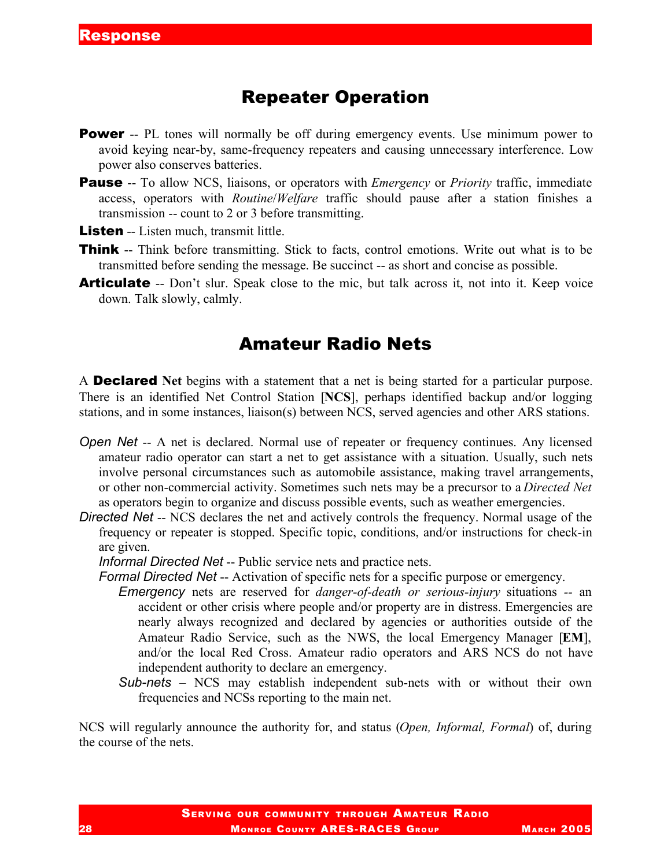#### Repeater Operation

- **Power** -- PL tones will normally be off during emergency events. Use minimum power to avoid keying near-by, same-frequency repeaters and causing unnecessary interference. Low power also conserves batteries.
- **Pause** -- To allow NCS, liaisons, or operators with *Emergency* or *Priority* traffic, immediate access, operators with *Routine*/*Welfare* traffic should pause after a station finishes a transmission -- count to 2 or 3 before transmitting.
- **Listen** -- Listen much, transmit little.
- **Think** -- Think before transmitting. Stick to facts, control emotions. Write out what is to be transmitted before sending the message. Be succinct -- as short and concise as possible.
- **Articulate** -- Don't slur. Speak close to the mic, but talk across it, not into it. Keep voice down. Talk slowly, calmly.

### Amateur Radio Nets

A Declared **Net** begins with a statement that a net is being started for a particular purpose. There is an identified Net Control Station [**NCS**], perhaps identified backup and/or logging stations, and in some instances, liaison(s) between NCS, served agencies and other ARS stations.

- *Open* Net -- A net is declared. Normal use of repeater or frequency continues. Any licensed amateur radio operator can start a net to get assistance with a situation. Usually, such nets involve personal circumstances such as automobile assistance, making travel arrangements, or other non-commercial activity. Sometimes such nets may be a precursor to a *Directed Net* as operators begin to organize and discuss possible events, such as weather emergencies.
- *Directed Net* -- NCS declares the net and actively controls the frequency. Normal usage of the frequency or repeater is stopped. Specific topic, conditions, and/or instructions for check-in are given.

*Informal Directed Net* -- Public service nets and practice nets.

*Formal Directed Net* -- Activation of specific nets for a specific purpose or emergency.

- *Emergency* nets are reserved for *danger-of-death or serious-injury* situations *--* an accident or other crisis where people and/or property are in distress. Emergencies are nearly always recognized and declared by agencies or authorities outside of the Amateur Radio Service, such as the NWS, the local Emergency Manager [**EM**], and/or the local Red Cross. Amateur radio operators and ARS NCS do not have independent authority to declare an emergency.
- *Sub-nets* NCS may establish independent sub-nets with or without their own frequencies and NCSs reporting to the main net.

NCS will regularly announce the authority for, and status (*Open, Informal, Formal*) of, during the course of the nets.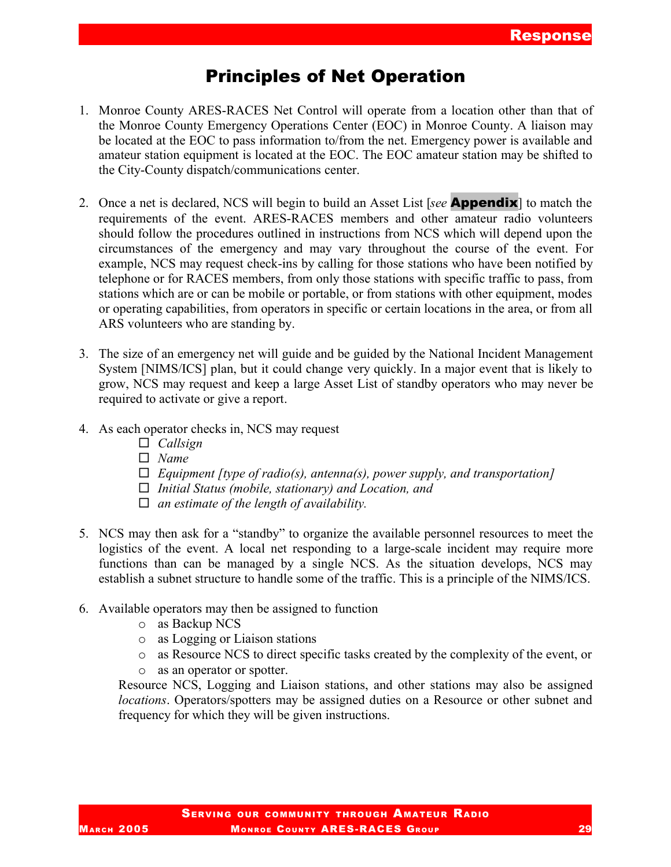### Principles of Net Operation

- 1. Monroe County ARES-RACES Net Control will operate from a location other than that of the Monroe County Emergency Operations Center (EOC) in Monroe County. A liaison may be located at the EOC to pass information to/from the net. Emergency power is available and amateur station equipment is located at the EOC. The EOC amateur station may be shifted to the City-County dispatch/communications center.
- 2. Once a net is declared, NCS will begin to build an Asset List [*see* Appendix] to match the requirements of the event. ARES-RACES members and other amateur radio volunteers should follow the procedures outlined in instructions from NCS which will depend upon the circumstances of the emergency and may vary throughout the course of the event. For example, NCS may request check-ins by calling for those stations who have been notified by telephone or for RACES members, from only those stations with specific traffic to pass, from stations which are or can be mobile or portable, or from stations with other equipment, modes or operating capabilities, from operators in specific or certain locations in the area, or from all ARS volunteers who are standing by.
- 3. The size of an emergency net will guide and be guided by the National Incident Management System [NIMS/ICS] plan, but it could change very quickly. In a major event that is likely to grow, NCS may request and keep a large Asset List of standby operators who may never be required to activate or give a report.
- 4. As each operator checks in, NCS may request
	- *Callsign*
	- *Name*
	- *Equipment [type of radio(s), antenna(s), power supply, and transportation]*
	- *Initial Status (mobile, stationary) and Location, and*
	- *an estimate of the length of availability.*
- 5. NCS may then ask for a "standby" to organize the available personnel resources to meet the logistics of the event. A local net responding to a large-scale incident may require more functions than can be managed by a single NCS. As the situation develops, NCS may establish a subnet structure to handle some of the traffic. This is a principle of the NIMS/ICS.
- 6. Available operators may then be assigned to function
	- o as Backup NCS
	- o as Logging or Liaison stations
	- o as Resource NCS to direct specific tasks created by the complexity of the event, or
	- o as an operator or spotter.

Resource NCS, Logging and Liaison stations, and other stations may also be assigned *locations*. Operators/spotters may be assigned duties on a Resource or other subnet and frequency for which they will be given instructions.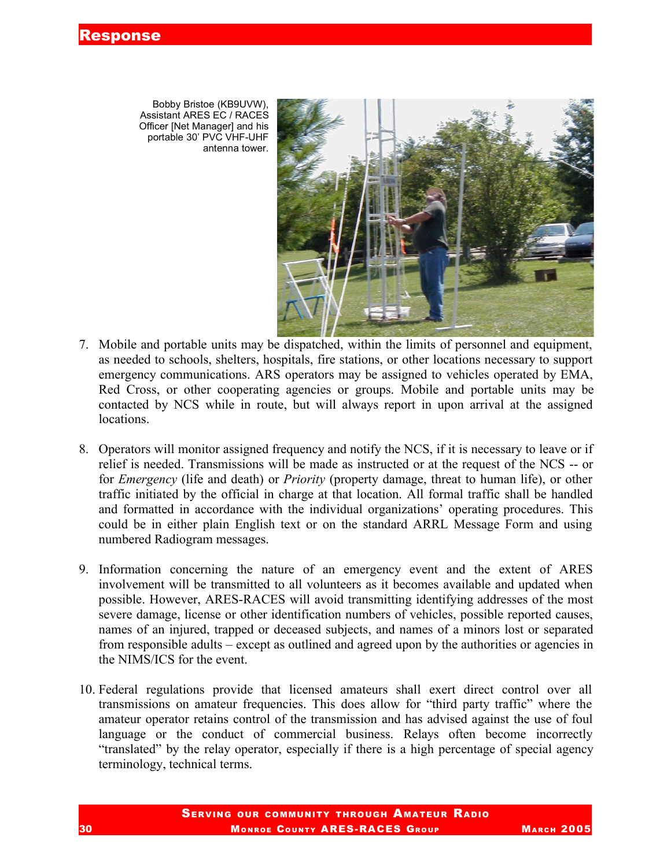Bobby Bristoe (KB9UVW), Assistant ARES EC / RACES Officer [Net Manager] and his portable 30' PVC VHF-UHF antenna tower.

- 7. Mobile and portable units may be dispatched, within the limits of personnel and equipment, as needed to schools, shelters, hospitals, fire stations, or other locations necessary to support emergency communications. ARS operators may be assigned to vehicles operated by EMA, Red Cross, or other cooperating agencies or groups. Mobile and portable units may be contacted by NCS while in route, but will always report in upon arrival at the assigned locations.
- 8. Operators will monitor assigned frequency and notify the NCS, if it is necessary to leave or if relief is needed. Transmissions will be made as instructed or at the request of the NCS -- or for *Emergency* (life and death) or *Priority* (property damage, threat to human life), or other traffic initiated by the official in charge at that location. All formal traffic shall be handled and formatted in accordance with the individual organizations' operating procedures. This could be in either plain English text or on the standard ARRL Message Form and using numbered Radiogram messages.
- 9. Information concerning the nature of an emergency event and the extent of ARES involvement will be transmitted to all volunteers as it becomes available and updated when possible. However, ARES-RACES will avoid transmitting identifying addresses of the most severe damage, license or other identification numbers of vehicles, possible reported causes, names of an injured, trapped or deceased subjects, and names of a minors lost or separated from responsible adults – except as outlined and agreed upon by the authorities or agencies in the NIMS/ICS for the event.
- 10. Federal regulations provide that licensed amateurs shall exert direct control over all transmissions on amateur frequencies. This does allow for "third party traffic" where the amateur operator retains control of the transmission and has advised against the use of foul language or the conduct of commercial business. Relays often become incorrectly "translated" by the relay operator, especially if there is a high percentage of special agency terminology, technical terms.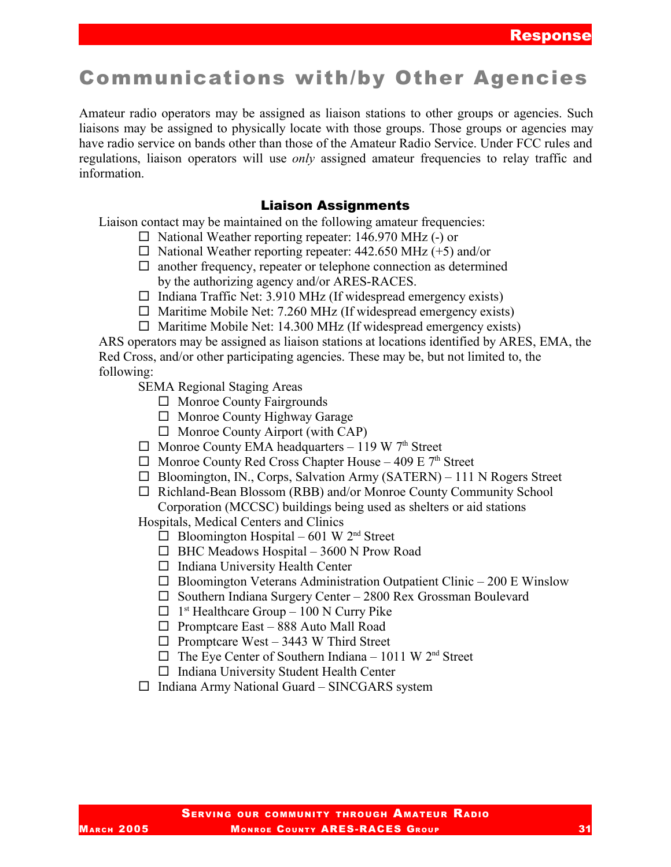## Communications with/by Other Agencies

Amateur radio operators may be assigned as liaison stations to other groups or agencies. Such liaisons may be assigned to physically locate with those groups. Those groups or agencies may have radio service on bands other than those of the Amateur Radio Service. Under FCC rules and regulations, liaison operators will use *only* assigned amateur frequencies to relay traffic and information.

#### Liaison Assignments

Liaison contact may be maintained on the following amateur frequencies:

- $\Box$  National Weather reporting repeater: 146.970 MHz (-) or
- $\Box$  National Weather reporting repeater: 442.650 MHz (+5) and/or
- $\Box$  another frequency, repeater or telephone connection as determined by the authorizing agency and/or ARES-RACES.
- $\Box$  Indiana Traffic Net: 3.910 MHz (If widespread emergency exists)
- $\Box$  Maritime Mobile Net: 7.260 MHz (If widespread emergency exists)
- $\Box$  Maritime Mobile Net: 14.300 MHz (If widespread emergency exists)

ARS operators may be assigned as liaison stations at locations identified by ARES, EMA, the Red Cross, and/or other participating agencies. These may be, but not limited to, the following:

SEMA Regional Staging Areas

- $\Box$  Monroe County Fairgrounds
- $\Box$  Monroe County Highway Garage
- $\Box$  Monroe County Airport (with CAP)
- $\Box$  Monroe County EMA headquarters 119 W 7<sup>th</sup> Street
- $\Box$  Monroe County Red Cross Chapter House 409 E  $7<sup>th</sup>$  Street
- $\Box$  Bloomington, IN., Corps, Salvation Army (SATERN) 111 N Rogers Street
- $\Box$  Richland-Bean Blossom (RBB) and/or Monroe County Community School Corporation (MCCSC) buildings being used as shelters or aid stations

Hospitals, Medical Centers and Clinics

- $\Box$  Bloomington Hospital 601 W 2<sup>nd</sup> Street
- $\Box$  BHC Meadows Hospital 3600 N Prow Road
- $\Box$  Indiana University Health Center
- $\Box$  Bloomington Veterans Administration Outpatient Clinic 200 E Winslow
- $\square$  Southern Indiana Surgery Center 2800 Rex Grossman Boulevard
- $\Box$  1<sup>st</sup> Healthcare Group 100 N Curry Pike
- $\Box$  Promptcare East 888 Auto Mall Road
- $\Box$  Promptcare West 3443 W Third Street
- $\Box$  The Eye Center of Southern Indiana 1011 W 2<sup>nd</sup> Street
- $\Box$  Indiana University Student Health Center
- $\Box$  Indiana Army National Guard SINCGARS system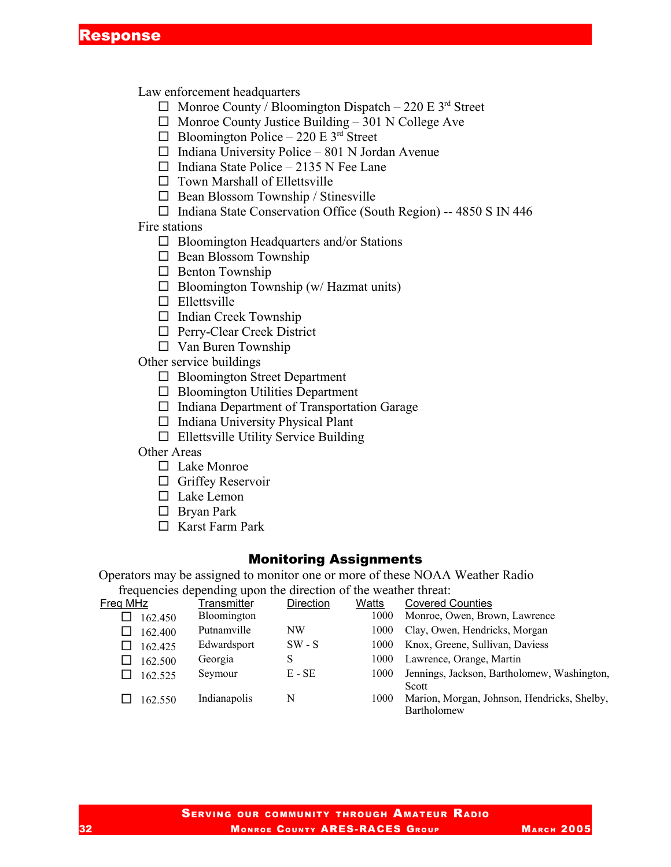Law enforcement headquarters

- $\Box$  Monroe County / Bloomington Dispatch 220 E 3<sup>rd</sup> Street
- $\Box$  Monroe County Justice Building 301 N College Ave
- $\Box$  Bloomington Police 220 E 3<sup>rd</sup> Street
- $\Box$  Indiana University Police 801 N Jordan Avenue
- $\Box$  Indiana State Police 2135 N Fee Lane
- $\Box$  Town Marshall of Ellettsville
- $\Box$  Bean Blossom Township / Stinesville
- $\Box$  Indiana State Conservation Office (South Region) -- 4850 S IN 446

Fire stations

- $\Box$  Bloomington Headquarters and/or Stations
- $\Box$  Bean Blossom Township
- $\square$  Benton Township
- $\Box$  Bloomington Township (w/ Hazmat units)
- $\square$  Ellettsville
- $\Box$  Indian Creek Township
- □ Perry-Clear Creek District
- $\square$  Van Buren Township

Other service buildings

- $\Box$  Bloomington Street Department
- $\Box$  Bloomington Utilities Department
- $\Box$  Indiana Department of Transportation Garage
- $\Box$  Indiana University Physical Plant
- $\Box$  Ellettsville Utility Service Building

Other Areas

- $\Box$  Lake Monroe
- $\Box$  Griffey Reservoir
- □ Lake Lemon
- □ Bryan Park
- □ Karst Farm Park

#### Monitoring Assignments

Operators may be assigned to monitor one or more of these NOAA Weather Radio

frequencies depending upon the direction of the weather threat:

| Freg MHz | <b>Transmitter</b> | Direction | Watts | <b>Covered Counties</b>                                    |
|----------|--------------------|-----------|-------|------------------------------------------------------------|
| 162.450  | <b>Bloomington</b> |           | 1000  | Monroe, Owen, Brown, Lawrence                              |
| 162.400  | Putnamville        | NW        | 1000  | Clay, Owen, Hendricks, Morgan                              |
| 162.425  | Edwardsport        | $SW - S$  | 1000  | Knox, Greene, Sullivan, Daviess                            |
| 162.500  | Georgia            |           | 1000  | Lawrence, Orange, Martin                                   |
| 162.525  | Seymour            | $E - SE$  | 1000  | Jennings, Jackson, Bartholomew, Washington,<br>Scott       |
| 162.550  | Indianapolis       | N         | 1000  | Marion, Morgan, Johnson, Hendricks, Shelby,<br>Bartholomew |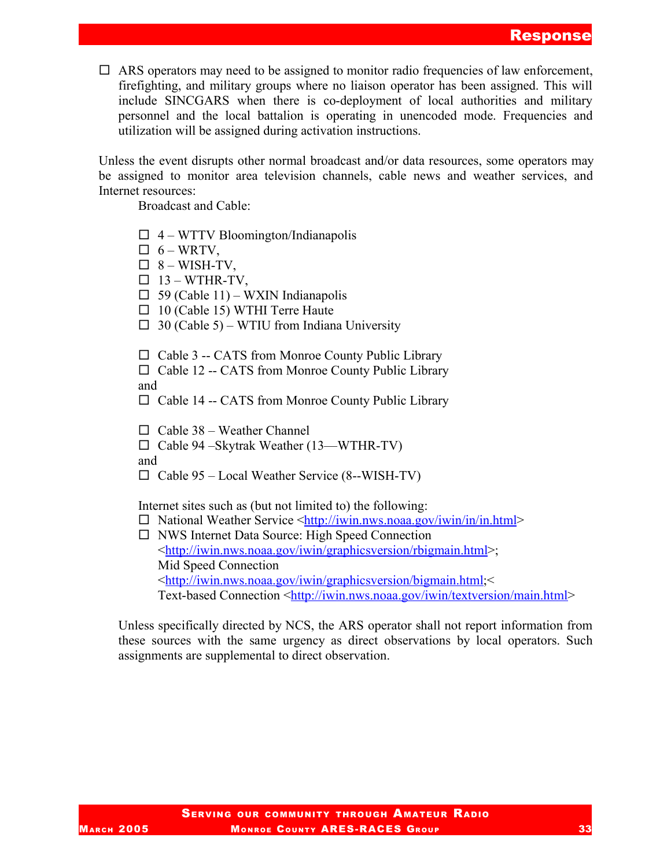$\Box$  ARS operators may need to be assigned to monitor radio frequencies of law enforcement, firefighting, and military groups where no liaison operator has been assigned. This will include SINCGARS when there is co-deployment of local authorities and military personnel and the local battalion is operating in unencoded mode. Frequencies and utilization will be assigned during activation instructions.

Unless the event disrupts other normal broadcast and/or data resources, some operators may be assigned to monitor area television channels, cable news and weather services, and Internet resources:

Broadcast and Cable:

- $\Box$  4 WTTV Bloomington/Indianapolis
- $\Box$  6 WRTV,
- $\Box$  8 WISH-TV,
- $\Box$  13 WTHR-TV,
- $\Box$  59 (Cable 11) WXIN Indianapolis
- $\Box$  10 (Cable 15) WTHI Terre Haute
- $\Box$  30 (Cable 5) WTIU from Indiana University

 $\Box$  Cable 3 -- CATS from Monroe County Public Library

 $\Box$  Cable 12 -- CATS from Monroe County Public Library and

 $\Box$  Cable 14 -- CATS from Monroe County Public Library

 $\Box$  Cable 38 – Weather Channel

Cable 94 –Skytrak Weather (13—WTHR-TV)

and

 $\Box$  Cable 95 – Local Weather Service (8--WISH-TV)

Internet sites such as (but not limited to) the following:

 $\Box$  National Weather Service <http://iwin.nws.noaa.gov/iwin/in/in.html>

 NWS Internet Data Source: High Speed Connection <http://iwin.nws.noaa.gov/iwin/graphicsversion/rbigmain.html>; Mid Speed Connection <http://iwin.nws.noaa.gov/iwin/graphicsversion/bigmain.html;< Text-based Connection <http://iwin.nws.noaa.gov/iwin/textversion/main.html>

Unless specifically directed by NCS, the ARS operator shall not report information from these sources with the same urgency as direct observations by local operators. Such assignments are supplemental to direct observation.